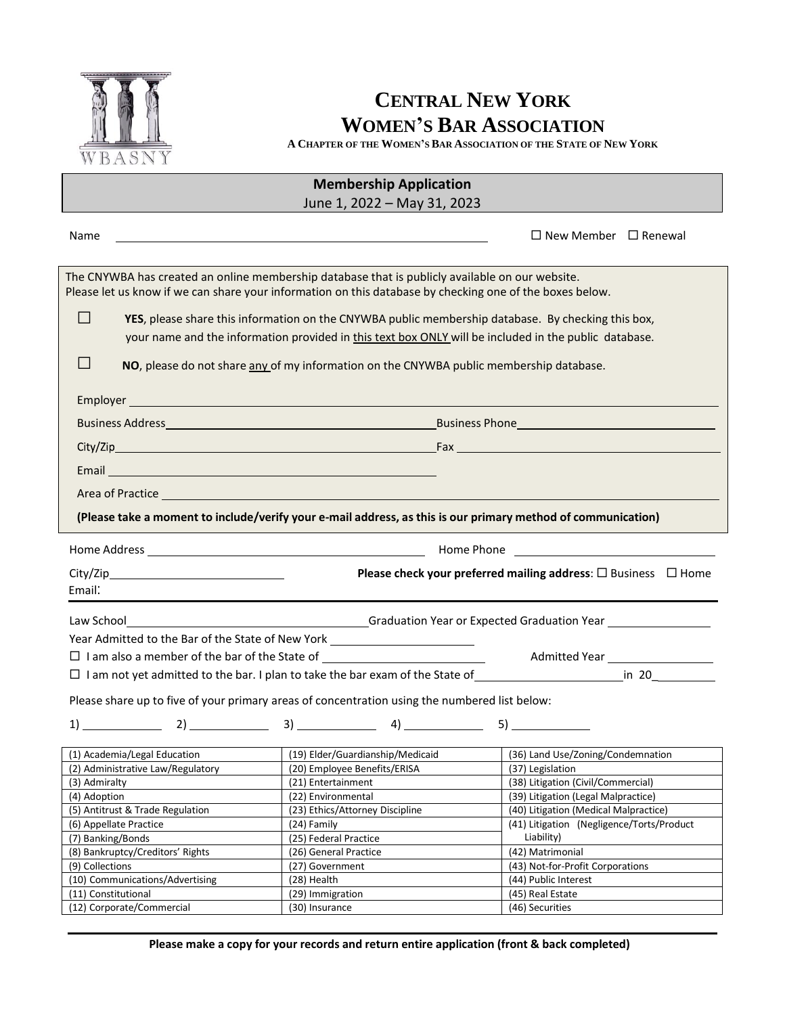

## **CENTRAL NEW YORK WOMEN'S BAR ASSOCIATION**

**A CHAPTER OF THE WOMEN'S BAR ASSOCIATION OF THE STATE OF NEW YORK**

| <b>Membership Application</b><br>June 1, 2022 - May 31, 2023 |                                                                                                                                                                                                                                      |                                                                                                                                                                         |  |  |
|--------------------------------------------------------------|--------------------------------------------------------------------------------------------------------------------------------------------------------------------------------------------------------------------------------------|-------------------------------------------------------------------------------------------------------------------------------------------------------------------------|--|--|
| Name                                                         |                                                                                                                                                                                                                                      | $\Box$ New Member $\Box$ Renewal                                                                                                                                        |  |  |
|                                                              | The CNYWBA has created an online membership database that is publicly available on our website.                                                                                                                                      |                                                                                                                                                                         |  |  |
|                                                              | Please let us know if we can share your information on this database by checking one of the boxes below.                                                                                                                             |                                                                                                                                                                         |  |  |
| $\mathbf{1}$                                                 | YES, please share this information on the CNYWBA public membership database. By checking this box,<br>your name and the information provided in this text box ONLY will be included in the public database.                          |                                                                                                                                                                         |  |  |
| $\mathsf{L}$                                                 | NO, please do not share any of my information on the CNYWBA public membership database.                                                                                                                                              |                                                                                                                                                                         |  |  |
|                                                              |                                                                                                                                                                                                                                      |                                                                                                                                                                         |  |  |
|                                                              |                                                                                                                                                                                                                                      |                                                                                                                                                                         |  |  |
|                                                              |                                                                                                                                                                                                                                      |                                                                                                                                                                         |  |  |
|                                                              | Email experience and the contract of the contract of the contract of the contract of the contract of the contract of the contract of the contract of the contract of the contract of the contract of the contract of the contr       |                                                                                                                                                                         |  |  |
|                                                              | Area of Practice <u>contract the contract of the contract of the contract of the contract of the contract of the contract of the contract of the contract of the contract of the contract of the contract of the contract of the</u> |                                                                                                                                                                         |  |  |
|                                                              | (Please take a moment to include/verify your e-mail address, as this is our primary method of communication)                                                                                                                         |                                                                                                                                                                         |  |  |
|                                                              |                                                                                                                                                                                                                                      |                                                                                                                                                                         |  |  |
|                                                              |                                                                                                                                                                                                                                      | <u> 1980 - Andrea Andrew Maria (h. 1980).</u>                                                                                                                           |  |  |
|                                                              |                                                                                                                                                                                                                                      | Please check your preferred mailing address: $\square$ Business $\square$ Home                                                                                          |  |  |
| Email:                                                       |                                                                                                                                                                                                                                      |                                                                                                                                                                         |  |  |
|                                                              |                                                                                                                                                                                                                                      | Law School <u>New York Community Community Community Community Community Community Community Community Community Co</u>                                                 |  |  |
|                                                              | Year Admitted to the Bar of the State of New York [1988] Manuscript Admitted to the Bar of the State of New York                                                                                                                     |                                                                                                                                                                         |  |  |
|                                                              |                                                                                                                                                                                                                                      |                                                                                                                                                                         |  |  |
| $\Box$ I am also a member of the bar of the State of $\Box$  |                                                                                                                                                                                                                                      | Admitted Year ___________________                                                                                                                                       |  |  |
|                                                              |                                                                                                                                                                                                                                      | □ I am not yet admitted to the bar. I plan to take the bar exam of the State of<br>□ I am not yet admitted to the bar. I plan to take the bar exam of the State of<br>□ |  |  |
|                                                              | Please share up to five of your primary areas of concentration using the numbered list below:                                                                                                                                        |                                                                                                                                                                         |  |  |
| 1)                                                           | 2) 3) 4) 4) 5)                                                                                                                                                                                                                       |                                                                                                                                                                         |  |  |
| (1) Academia/Legal Education                                 | (19) Elder/Guardianship/Medicaid                                                                                                                                                                                                     | (36) Land Use/Zoning/Condemnation                                                                                                                                       |  |  |
| (2) Administrative Law/Regulatory                            | (20) Employee Benefits/ERISA                                                                                                                                                                                                         | (37) Legislation                                                                                                                                                        |  |  |
| (3) Admiralty                                                | (21) Entertainment                                                                                                                                                                                                                   | (38) Litigation (Civil/Commercial)                                                                                                                                      |  |  |
| (4) Adoption                                                 | (22) Environmental                                                                                                                                                                                                                   | (39) Litigation (Legal Malpractice)                                                                                                                                     |  |  |
| (5) Antitrust & Trade Regulation                             | (23) Ethics/Attorney Discipline                                                                                                                                                                                                      | (40) Litigation (Medical Malpractice)                                                                                                                                   |  |  |
| (6) Appellate Practice                                       | (24) Family                                                                                                                                                                                                                          | (41) Litigation (Negligence/Torts/Product                                                                                                                               |  |  |
| (7) Banking/Bonds                                            | (25) Federal Practice                                                                                                                                                                                                                | Liability)                                                                                                                                                              |  |  |
| (8) Bankruptcy/Creditors' Rights                             | (26) General Practice                                                                                                                                                                                                                | (42) Matrimonial                                                                                                                                                        |  |  |
| (9) Collections                                              | (27) Government                                                                                                                                                                                                                      | (43) Not-for-Profit Corporations                                                                                                                                        |  |  |
| (10) Communications/Advertising                              | (28) Health                                                                                                                                                                                                                          | (44) Public Interest                                                                                                                                                    |  |  |
| (11) Constitutional<br>(12) Corporate/Commercial             | (29) Immigration<br>(30) Insurance                                                                                                                                                                                                   | (45) Real Estate<br>(46) Securities                                                                                                                                     |  |  |
|                                                              |                                                                                                                                                                                                                                      |                                                                                                                                                                         |  |  |